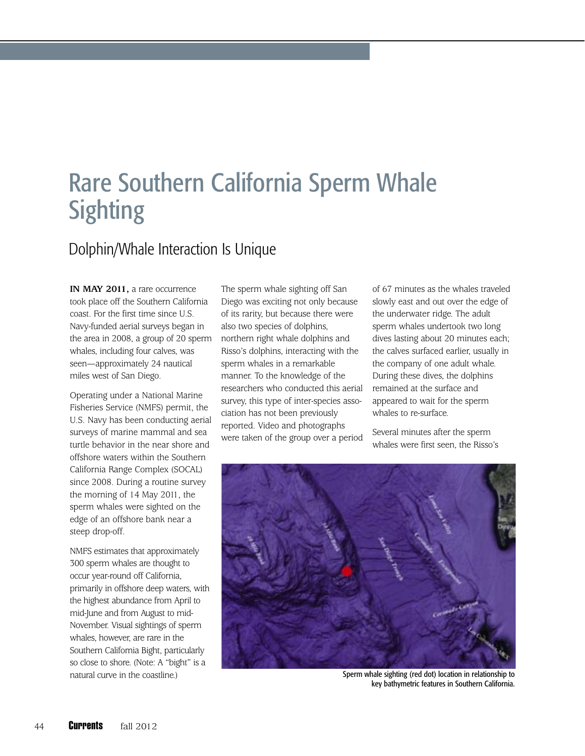## Rare Southern California Sperm Whale **Sighting**

## Dolphin/Whale Interaction Is Unique

**IN MAY 2011,** a rare occurrence took place off the Southern California coast. For the first time since U.S. Navy-funded aerial surveys began in the area in 2008, a group of 20 sperm whales, including four calves, was seen—approximately 24 nautical miles west of San Diego.

Operating under a National Marine Fisheries Service (NMFS) permit, the U.S. Navy has been conducting aerial surveys of marine mammal and sea turtle behavior in the near shore and offshore waters within the Southern California Range Complex (SOCAL) since 2008. During a routine survey the morning of 14 May 2011, the sperm whales were sighted on the edge of an offshore bank near a steep drop-off.

NMFS estimates that approximately 300 sperm whales are thought to occur year-round off California, primarily in offshore deep waters, with the highest abundance from April to mid-June and from August to mid-November. Visual sightings of sperm whales, however, are rare in the Southern California Bight, particularly so close to shore. (Note: A "bight" is a natural curve in the coastline.)

The sperm whale sighting off San Diego was exciting not only because of its rarity, but because there were also two species of dolphins, northern right whale dolphins and Risso's dolphins, interacting with the sperm whales in a remarkable manner. To the knowledge of the researchers who conducted this aerial survey, this type of inter-species association has not been previously reported. Video and photographs were taken of the group over a period

of 67 minutes as the whales traveled slowly east and out over the edge of the underwater ridge. The adult sperm whales undertook two long dives lasting about 20 minutes each; the calves surfaced earlier, usually in the company of one adult whale. During these dives, the dolphins remained at the surface and appeared to wait for the sperm whales to re-surface.

Several minutes after the sperm whales were first seen, the Risso's



Sperm whale sighting (red dot) location in relationship to key bathymetric features in Southern California.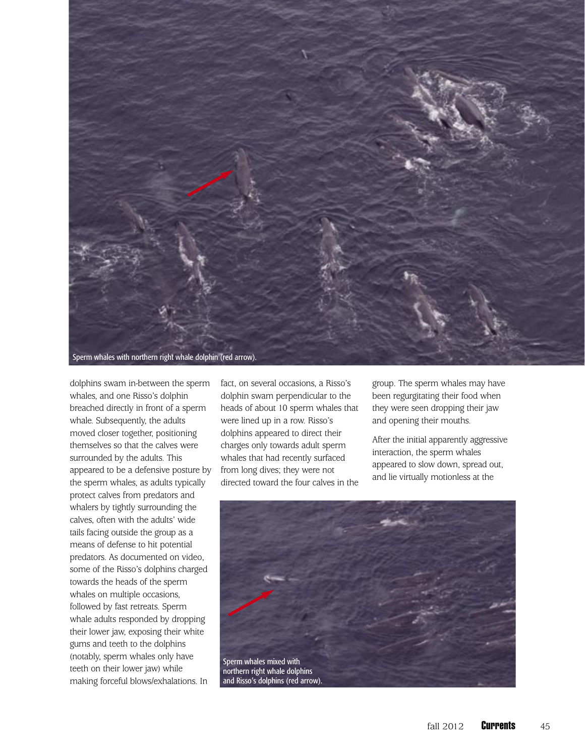

dolphins swam in-between the sperm whales, and one Risso's dolphin breached directly in front of a sperm whale. Subsequently, the adults moved closer together, positioning themselves so that the calves were surrounded by the adults. This appeared to be a defensive posture by the sperm whales, as adults typically protect calves from predators and whalers by tightly surrounding the calves, often with the adults' wide tails facing outside the group as a means of defense to hit potential predators. As documented on video, some of the Risso's dolphins charged towards the heads of the sperm whales on multiple occasions, followed by fast retreats. Sperm whale adults responded by dropping their lower jaw, exposing their white gums and teeth to the dolphins (notably, sperm whales only have teeth on their lower jaw) while making forceful blows/exhalations. In

fact, on several occasions, a Risso's dolphin swam perpendicular to the heads of about 10 sperm whales that were lined up in a row. Risso's dolphins appeared to direct their charges only towards adult sperm whales that had recently surfaced from long dives; they were not directed toward the four calves in the

group. The sperm whales may have been regurgitating their food when they were seen dropping their jaw and opening their mouths.

After the initial apparently aggressive interaction, the sperm whales appeared to slow down, spread out, and lie virtually motionless at the

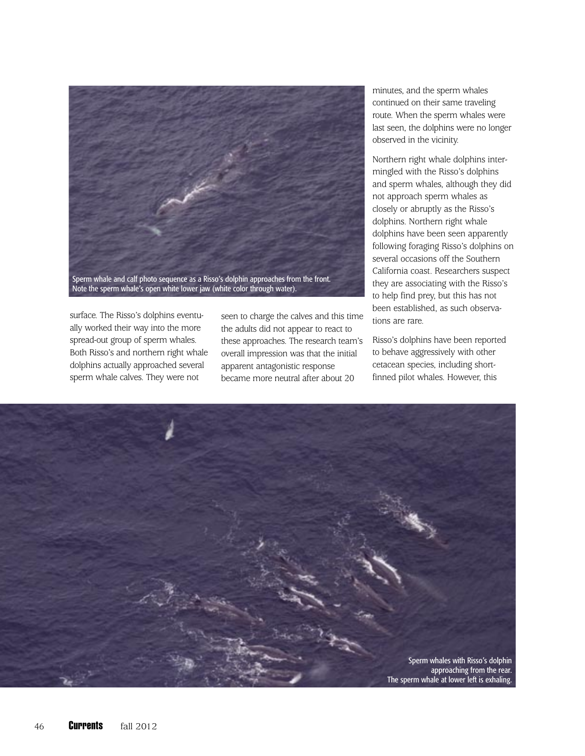

surface. The Risso's dolphins eventually worked their way into the more spread-out group of sperm whales. Both Risso's and northern right whale dolphins actually approached several sperm whale calves. They were not

seen to charge the calves and this time the adults did not appear to react to these approaches. The research team's overall impression was that the initial apparent antagonistic response became more neutral after about 20

minutes, and the sperm whales continued on their same traveling route. When the sperm whales were last seen, the dolphins were no longer observed in the vicinity.

Northern right whale dolphins intermingled with the Risso's dolphins and sperm whales, although they did not approach sperm whales as closely or abruptly as the Risso's dolphins. Northern right whale dolphins have been seen apparently following foraging Risso's dolphins on several occasions off the Southern California coast. Researchers suspect they are associating with the Risso's to help find prey, but this has not been established, as such observations are rare.

Risso's dolphins have been reported to behave aggressively with other cetacean species, including shortfinned pilot whales. However, this